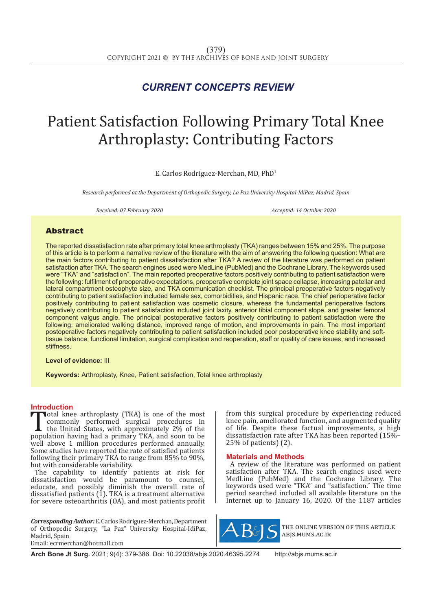# *CURRENT CONCEPTS REVIEW*

# Patient Satisfaction Following Primary Total Knee Arthroplasty: Contributing Factors

E. Carlos Rodriguez-Merchan, MD, PhD1

*Research performed at the Department of Orthopedic Surgery, La Paz University Hospital-IdiPaz, Madrid, Spain*

*Received: 07 February 2020 Accepted: 14 October 2020*

### Abstract

The reported dissatisfaction rate after primary total knee arthroplasty (TKA) ranges between 15% and 25%. The purpose of this article is to perform a narrative review of the literature with the aim of answering the following question: What are the main factors contributing to patient dissatisfaction after TKA? A review of the literature was performed on patient satisfaction after TKA. The search engines used were MedLine (PubMed) and the Cochrane Library. The keywords used were "TKA" and "satisfaction". The main reported preoperative factors positively contributing to patient satisfaction were the following: fulfilment of preoperative expectations, preoperative complete joint space collapse, increasing patellar and lateral compartment osteophyte size, and TKA communication checklist. The principal preoperative factors negatively contributing to patient satisfaction included female sex, comorbidities, and Hispanic race. The chief perioperative factor positively contributing to patient satisfaction was cosmetic closure, whereas the fundamental perioperative factors negatively contributing to patient satisfaction included joint laxity, anterior tibial component slope, and greater femoral component valgus angle. The principal postoperative factors positively contributing to patient satisfaction were the following: ameliorated walking distance, improved range of motion, and improvements in pain. The most important postoperative factors negatively contributing to patient satisfaction included poor postoperative knee stability and softtissue balance, functional limitation, surgical complication and reoperation, staff or quality of care issues, and increased stiffness.

**Level of evidence:** III

**Keywords:** Arthroplasty, Knee, Patient satisfaction, Total knee arthroplasty

#### **Introduction**

Total knee arthroplasty (TKA) is one of the most<br>commonly performed surgical procedures in<br>the United States, with approximately 2% of the<br>population having had a primary TKA, and soon to be<br>well above 1 million procedures commonly performed surgical procedures in the United States, with approximately 2% of the population having had a primary TKA, and soon to be well above 1 million procedures performed annually. Some studies have reported the rate of satisfied patients following their primary TKA to range from 85% to 90%, but with considerable variability.

The capability to identify patients at risk for dissatisfaction would be paramount to counsel, educate, and possibly diminish the overall rate of dissatisfied patients  $(1)$ . TKA is a treatment alternative for severe osteoarthritis (OA), and most patients profit

*Corresponding Author:* E. Carlos Rodriguez-Merchan, Department of Orthopedic Surgery, "La Paz" University Hospital-IdiPaz, Madrid, Spain Email: ecrmerchan@hotmail.com

from this surgical procedure by experiencing reduced knee pain, ameliorated function, and augmented quality of life. Despite these factual improvements, a high dissatisfaction rate after TKA has been reported (15%– 25% of patients) (2).

#### **Materials and Methods**

A review of the literature was performed on patient satisfaction after TKA. The search engines used were MedLine (PubMed) and the Cochrane Library. The keywords used were "TKA" and "satisfaction." The time period searched included all available literature on the Internet up to January 16, 2020. Of the 1187 articles



the online version of this article abjs.mums.ac.ir

**Arch Bone Jt Surg.** 2021; 9(4): 379-386. Doi: 10.22038/abjs.2020.46395.2274 http://abjs.mums.ac.ir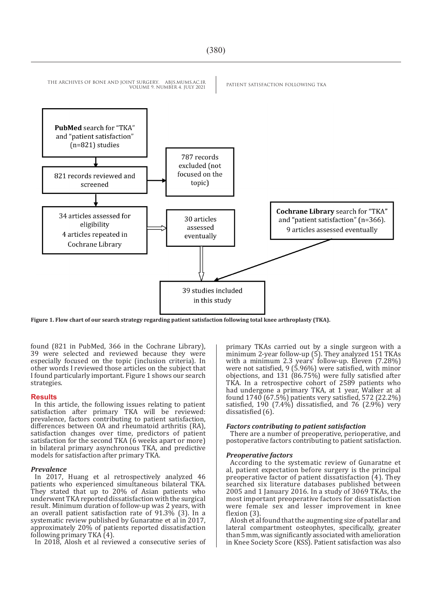## THE ARCHIVES OF BONE AND JOINT SURGERY. ABJS.MUMS.AC.IR PATIENT SATISFACTION FOLLOWING TKA VOLUME 9. NUMBER 4. JULY 2021 PubMed search for "TKA" and "patient satisfaction"  $(n=821)$  studies 787 records excluded (not focused on the 821 records reviewed and topic) screened **Cochrane Library search for "TKA"** 34 articles assessed for 30 articles and "patient satisfaction" (n=366). eligibility assessed 9 articles assessed eventually 4 articles repeated in eventually Cochrane Library 39 studies included in this study

**Figure 1. Flow chart of our search strategy regarding patient satisfaction following total knee arthroplasty (TKA).**

found (821 in PubMed, 366 in the Cochrane Library), 39 were selected and reviewed because they were especially focused on the topic (inclusion criteria). In other words I reviewed those articles on the subject that I found particularly important. Figure 1 shows our search strategies.

#### **Results**

In this article, the following issues relating to patient satisfaction after primary TKA will be reviewed: prevalence, factors contributing to patient satisfaction, differences between OA and rheumatoid arthritis (RA), satisfaction changes over time, predictors of patient satisfaction for the second TKA (6 weeks apart or more) in bilateral primary asynchronous TKA, and predictive models for satisfaction after primary TKA.

#### *Prevalence*

In 2017, Huang et al retrospectively analyzed 46 patients who experienced simultaneous bilateral TKA. They stated that up to 20% of Asian patients who underwent TKA reported dissatisfaction with the surgical result. Minimum duration of follow-up was 2 years, with an overall patient satisfaction rate of 91.3% (3). In a systematic review published by Gunaratne et al in 2017, approximately 20% of patients reported dissatisfaction following primary TKA (4).

In 2018, Alosh et al reviewed a consecutive series of

primary TKAs carried out by a single surgeon with a minimum 2-year follow-up (5). They analyzed 151 TKAs with a minimum 2.3 years' follow-up. Eleven (7.28%) were not satisfied, 9 (5.96%) were satisfied, with minor objections, and 131 (86.75%) were fully satisfied after TKA. In a retrospective cohort of 2589 patients who had undergone a primary TKA, at 1 year, Walker at al found 1740 (67.5%) patients very satisfied, 572 (22.2%) satisfied, 190  $(7.4\%)$  dissatisfied, and 76  $(2.9\%)$  very dissatisfied (6).

#### *Factors contributing to patient satisfaction*

There are a number of preoperative, perioperative, and postoperative factors contributing to patient satisfaction.

#### *Preoperative factors*

According to the systematic review of Gunaratne et al, patient expectation before surgery is the principal preoperative factor of patient dissatisfaction (4). They searched six literature databases published between 2005 and 1 January 2016. In a study of 3069 TKAs, the most important preoperative factors for dissatisfaction were female sex and lesser improvement in knee flexion (3).

Alosh et al found that the augmenting size of patellar and lateral compartment osteophytes, specifically, greater than 5 mm, was significantly associated with amelioration in Knee Society Score (KSS). Patient satisfaction was also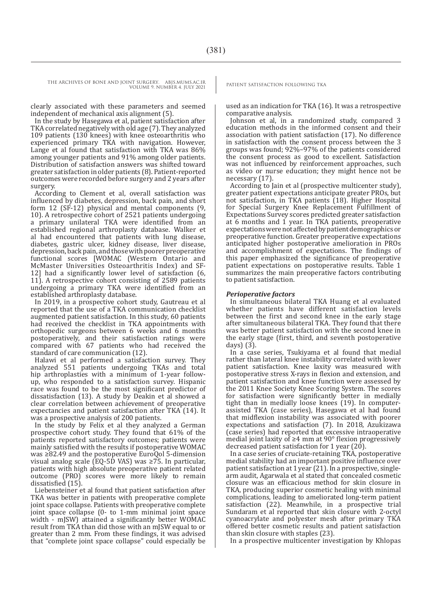clearly associated with these parameters and seemed independent of mechanical axis alignment (5).

In the study by Hasegawa et al, patient satisfaction after TKA correlated negatively with old age (7). They analyzed 109 patients (130 knees) with knee osteoarthritis who experienced primary TKA with navigation. However, Lange et al found that satisfaction with TKA was 86% among younger patients and 91% among older patients. Distribution of satisfaction answers was shifted toward greater satisfaction in older patients (8). Patient-reported outcomes were recorded before surgery and 2 years after surgery.

According to Clement et al, overall satisfaction was influenced by diabetes, depression, back pain, and short form 12 (SF-12) physical and mental components (9, 10). A retrospective cohort of 2521 patients undergoing a primary unilateral TKA were identified from an established regional arthroplasty database. Walker et al had encountered that patients with lung disease, diabetes, gastric ulcer, kidney disease, liver disease, depression, back pain, and those with poorer preoperative functional scores [WOMAC (Western Ontario and McMaster Universities Osteoarthritis Index) and SF-12] had a significantly lower level of satisfaction (6, 11). A retrospective cohort consisting of 2589 patients undergoing a primary TKA were identified from an established arthroplasty database.

In 2019, in a prospective cohort study, Gautreau et al reported that the use of a TKA communication checklist augmented patient satisfaction. In this study, 60 patients had received the checklist in TKA appointments with orthopedic surgeons between 6 weeks and 6 months postoperatively, and their satisfaction ratings were compared with 67 patients who had received the standard of care communication (12).

Halawi et al performed a satisfaction survey. They analyzed 551 patients undergoing TKAs and total hip arthroplasties with a minimum of 1-year followup, who responded to a satisfaction survey. Hispanic race was found to be the most significant predictor of dissatisfaction (13). A study by Deakin et al showed a clear correlation between achievement of preoperative expectancies and patient satisfaction after TKA (14). It was a prospective analysis of 200 patients.

In the study by Felix et al they analyzed a German prospective cohort study. They found that 61% of the patients reported satisfactory outcomes; patients were mainly satisfied with the results if postoperative WOMAC was ≥82.49 and the postoperative EuroQol 5-dimension visual analog scale (EQ-5D VAS) was ≥75. In particular, patients with high absolute preoperative patient related outcome (PRO) scores were more likely to remain dissatisfied (15).

Liebensteiner et al found that patient satisfaction after TKA was better in patients with preoperative complete joint space collapse. Patients with preoperative complete joint space collapse (0- to 1-mm minimal joint space width - mJSW) attained a significantly better WOMAC result from TKA than did those with an mJSW equal to or greater than 2 mm. From these findings, it was advised that "complete joint space collapse" could especially be

used as an indication for TKA (16). It was a retrospective comparative analysis.

Johnson et al, in a randomized study, compared 3 education methods in the informed consent and their association with patient satisfaction (17). No difference in satisfaction with the consent process between the 3 groups was found; 92%–97% of the patients considered the consent process as good to excellent. Satisfaction was not influenced by reinforcement approaches, such as video or nurse education; they might hence not be necessary (17).

According to Jain et al (prospective multicenter study), greater patient expectations anticipate greater PROs, but not satisfaction, in TKA patients (18). Higher Hospital for Special Surgery Knee Replacement Fulfillment of Expectations Survey scores predicted greater satisfaction at  $6$  months and  $1$  year. In TKA patients, preoperative expectations were not affected by patient demographics or preoperative function. Greater preoperative expectations anticipated higher postoperative amelioration in PROs and accomplishment of expectations. The findings of this paper emphasized the significance of preoperative patient expectations on postoperative results. Table 1 summarizes the main preoperative factors contributing to patient satisfaction.

#### *Perioperative factors*

In simultaneous bilateral TKA Huang et al evaluated whether patients have different satisfaction levels between the first and second knee in the early stage after simultaneous bilateral TKA. They found that there was better patient satisfaction with the second knee in the early stage (first, third, and seventh postoperative days) (3).

In a case series, Tsukiyama et al found that medial rather than lateral knee instability correlated with lower patient satisfaction. Knee laxity was measured with postoperative stress X-rays in flexion and extension, and patient satisfaction and knee function were assessed by the 2011 Knee Society Knee Scoring System. The scores for satisfaction were significantly better in medially tight than in medially loose knees (19). In computerassisted TKA (case series), Hasegawa et al had found that midflexion instability was associated with poorer expectations and satisfaction (7). In 2018, Azukizawa (case series) had reported that excessive intraoperative medial joint laxity of ≥4 mm at 90° flexion progressively decreased patient satisfaction for 1 year (20).

In a case series of cruciate-retaining TKA, postoperative medial stability had an important positive influence over patient satisfaction at 1 year (21). In a prospective, singlearm audit, Agarwala et al stated that concealed cosmetic closure was an efficacious method for skin closure in TKA, producing superior cosmetic healing with minimal complications, leading to ameliorated long-term patient satisfaction (22). Meanwhile, in a prospective trial Sundaram et al reported that skin closure with 2-octyl cyanoacrylate and polyester mesh after primary TKA offered better cosmetic results and patient satisfaction than skin closure with staples (23).

In a prospective multicenter investigation by Khlopas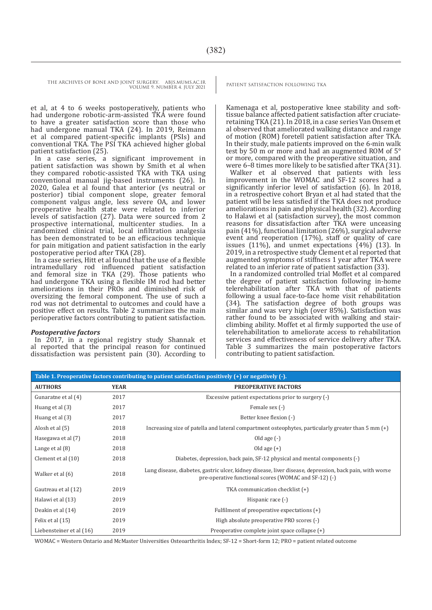et al, at 4 to 6 weeks postoperatively, patients who had undergone robotic-arm-assisted TKA were found to have a greater satisfaction score than those who had undergone manual TKA (24). In 2019, Reimann et al compared patient-specific implants (PSIs) and conventional TKA. The PSI TKA achieved higher global patient satisfaction (25).

In a case series, a significant improvement in patient satisfaction was shown by Smith et al when they compared robotic-assisted TKA with TKA using conventional manual jig-based instruments (26). In 2020, Galea et al found that anterior (vs neutral or posterior) tibial component slope, greater femoral component valgus angle, less severe OA, and lower preoperative health state were related to inferior levels of satisfaction (27). Data were sourced from 2 prospective international, multicenter studies. In a randomized clinical trial, local infiltration analgesia has been demonstrated to be an efficacious technique for pain mitigation and patient satisfaction in the early postoperative period after TKA (28).

In a case series, Hitt et al found that the use of a flexible intramedullary rod influenced patient satisfaction and femoral size in TKA (29). Those patients who had undergone TKA using a flexible IM rod had better ameliorations in their PROs and diminished risk of oversizing the femoral component. The use of such a rod was not detrimental to outcomes and could have a positive effect on results. Table 2 summarizes the main perioperative factors contributing to patient satisfaction.

#### *Postoperative factors*

In 2017, in a regional registry study Shannak et al reported that the principal reason for continued dissatisfaction was persistent pain (30). According to

Kamenaga et al, postoperative knee stability and softtissue balance affected patient satisfaction after cruciateretaining TKA (21). In 2018, in a case series Van Onsem et al observed that ameliorated walking distance and range of motion (ROM) foretell patient satisfaction after TKA. In their study, male patients improved on the 6-min walk test by 50 m or more and had an augmented ROM of 5° or more, compared with the preoperative situation, and were 6–8 times more likely to be satisfied after TKA (31).

Walker et al observed that patients with less improvement in the WOMAC and SF-12 scores had a significantly inferior level of satisfaction (6). In 2018, in a retrospective cohort Bryan et al had stated that the patient will be less satisfied if the TKA does not produce ameliorations in pain and physical health (32). According to Halawi et al (satisfaction survey), the most common reasons for dissatisfaction after TKA were unceasing pain (41%), functional limitation (26%), surgical adverse event and reoperation (17%), staff or quality of care issues (11%), and unmet expectations (4%) (13). In 2019, in a retrospective study Clement et al reported that augmented symptoms of stiffness 1 year after TKA were related to an inferior rate of patient satisfaction (33).

In a randomized controlled trial Moffet et al compared the degree of patient satisfaction following in-home telerehabilitation after TKA with that of patients following a usual face-to-face home visit rehabilitation (34). The satisfaction degree of both groups was similar and was very high (over 85%). Satisfaction was rather found to be associated with walking and stairclimbing ability. Moffet et al firmly supported the use of telerehabilitation to ameliorate access to rehabilitation services and effectiveness of service delivery after TKA. Table 3 summarizes the main postoperative factors contributing to patient satisfaction.

| Table 1. Preoperative factors contributing to patient satisfaction positively $(+)$ or negatively $(-)$ . |             |                                                                                                                                                                  |  |  |  |
|-----------------------------------------------------------------------------------------------------------|-------------|------------------------------------------------------------------------------------------------------------------------------------------------------------------|--|--|--|
| <b>AUTHORS</b>                                                                                            | <b>YEAR</b> | <b>PREOPERATIVE FACTORS</b>                                                                                                                                      |  |  |  |
| Gunaratne et al (4)                                                                                       | 2017        | Excessive patient expectations prior to surgery (-)                                                                                                              |  |  |  |
| Huang et al (3)                                                                                           | 2017        | Female sex (-)                                                                                                                                                   |  |  |  |
| Huang et al (3)                                                                                           | 2017        | Better knee flexion (-)                                                                                                                                          |  |  |  |
| Alosh et al (5)                                                                                           | 2018        | Increasing size of patella and lateral compartment osteophytes, particularly greater than $5 \text{ mm (+)}$                                                     |  |  |  |
| Hasegawa et al (7)                                                                                        | 2018        | Old age $(-)$                                                                                                                                                    |  |  |  |
| Lange et al $(8)$                                                                                         | 2018        | Old age $(+)$                                                                                                                                                    |  |  |  |
| Clement et al $(10)$                                                                                      | 2018        | Diabetes, depression, back pain, SF-12 physical and mental components (-)                                                                                        |  |  |  |
| Walker et al (6)                                                                                          | 2018        | Lung disease, diabetes, gastric ulcer, kidney disease, liver disease, depression, back pain, with worse<br>pre-operative functional scores (WOMAC and SF-12) (-) |  |  |  |
| Gautreau et al (12)                                                                                       | 2019        | TKA communication checklist (+)                                                                                                                                  |  |  |  |
| Halawi et al (13)                                                                                         | 2019        | Hispanic race (-)                                                                                                                                                |  |  |  |
| Deakin et al (14)                                                                                         | 2019        | Fulfilment of preoperative expectations (+)                                                                                                                      |  |  |  |
| Felix et al (15)                                                                                          | 2019        | High absolute preoperative PRO scores (-)                                                                                                                        |  |  |  |
| Liebensteiner et al (16)                                                                                  | 2019        | Preoperative complete joint space collapse (+)                                                                                                                   |  |  |  |

WOMAC = Western Ontario and McMaster Universities Osteoarthritis Index; SF-12 = Short-form 12; PRO = patient related outcome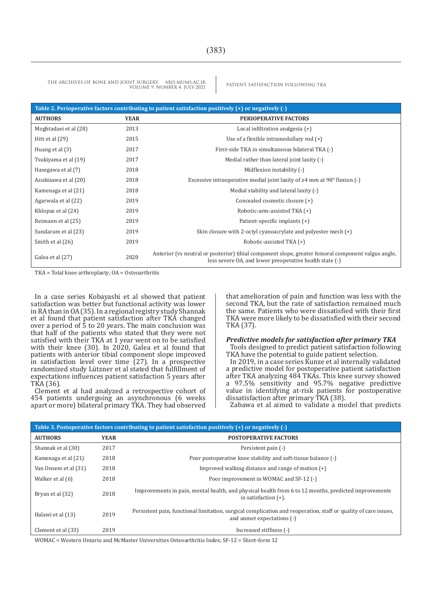| Table 2. Perioperative factors contributing to patient satisfaction positively $(+)$ or negatively $(-)$ |             |                                                                                                                                                               |  |  |
|----------------------------------------------------------------------------------------------------------|-------------|---------------------------------------------------------------------------------------------------------------------------------------------------------------|--|--|
| <b>AUTHORS</b>                                                                                           | <b>YEAR</b> | <b>PERIOPERATIVE FACTORS</b>                                                                                                                                  |  |  |
| Moghtadaei et al (28)                                                                                    | 2013        | Local infiltration analgesia $(+)$                                                                                                                            |  |  |
| Hitt et al $(29)$                                                                                        | 2015        | Use of a flexible intramedullary rod $(+)$                                                                                                                    |  |  |
| Huang et al (3)                                                                                          | 2017        | First-side TKA in simultaneous bilateral TKA (-)                                                                                                              |  |  |
| Tsukiyama et al (19)                                                                                     | 2017        | Medial rather than lateral joint laxity (-)                                                                                                                   |  |  |
| Hasegawa et al (7)                                                                                       | 2018        | Midflexion instability (-)                                                                                                                                    |  |  |
| Azukizawa et al (20)                                                                                     | 2018        | Excessive intraoperative medial joint laxity of $\geq 4$ mm at 90 $\degree$ flexion (-)                                                                       |  |  |
| Kamenaga et al (21)                                                                                      | 2018        | Medial stability and lateral laxity (-)                                                                                                                       |  |  |
| Agarwala et al (22)                                                                                      | 2019        | Concealed cosmetic closure (+)                                                                                                                                |  |  |
| Khlopas et al (24)                                                                                       | 2019        | Robotic-arm-assisted TKA (+)                                                                                                                                  |  |  |
| Reimann et al (25)                                                                                       | 2019        | Patient-specific implants (+)                                                                                                                                 |  |  |
| Sundaram et al (23)                                                                                      | 2019        | Skin closure with 2-octyl cyanoacrylate and polyester mesh $(+)$                                                                                              |  |  |
| Smith et al (26)                                                                                         | 2019        | Robotic-assisted TKA (+)                                                                                                                                      |  |  |
| Galea et al (27)                                                                                         | 2020        | Anterior (vs neutral or posterior) tibial component slope, greater femoral component valgus angle,<br>less severe OA, and lower preoperative health state (-) |  |  |

TKA = Total knee arthroplasty; OA = Osteoarthritis

In a case series Kobayashi et al showed that patient satisfaction was better but functional activity was lower in RA than in OA (35). In a regional registry study Shannak et al found that patient satisfaction after TKA changed over a period of 5 to 20 years. The main conclusion was that half of the patients who stated that they were not satisfied with their TKA at 1 year went on to be satisfied with their knee (30). In 2020, Galea et al found that patients with anterior tibial component slope improved in satisfaction level over time (27). In a prospective randomized study Lützner et al stated that fulfillment of expectations influences patient satisfaction 5 years after TKA (36).

Clement et al had analyzed a retrospective cohort of 454 patients undergoing an asynchronous (6 weeks apart or more) bilateral primary TKA. They had observed that amelioration of pain and function was less with the second TKA, but the rate of satisfaction remained much the same. Patients who were dissatisfied with their first TKA were more likely to be dissatisfied with their second TKA (37).

#### *Predictive models for satisfaction after primary TKA*

Tools designed to predict patient satisfaction following TKA have the potential to guide patient selection.

In 2019, in a case series Kunze et al internally validated a predictive model for postoperative patient satisfaction after TKA analyzing 484 TKAs. This knee survey showed a 97.5% sensitivity and 95.7% negative predictive value in identifying at-risk patients for postoperative dissatisfaction after primary TKA (38).

Zabawa et al aimed to validate a model that predicts

| Table 3. Postoperative factors contributing to patient satisfaction positively $(+)$ or negatively $(-)$ |             |                                                                                                                                               |  |  |  |
|----------------------------------------------------------------------------------------------------------|-------------|-----------------------------------------------------------------------------------------------------------------------------------------------|--|--|--|
| <b>AUTHORS</b>                                                                                           | <b>YEAR</b> | <b>POSTOPERATIVE FACTORS</b>                                                                                                                  |  |  |  |
| Shannak et al (30)                                                                                       | 2017        | Persistent pain (-)                                                                                                                           |  |  |  |
| Kamenaga et al (21)                                                                                      | 2018        | Poor postoperative knee stability and soft-tissue balance (-)                                                                                 |  |  |  |
| Van Onsem et al (31)                                                                                     | 2018        | Improved walking distance and range of motion $(+)$                                                                                           |  |  |  |
| Walker et al (6)                                                                                         | 2018        | Poor improvement in WOMAC and SF-12 (-)                                                                                                       |  |  |  |
| Bryan et al (32)                                                                                         | 2018        | Improvements in pain, mental health, and physical health from 6 to 12 months, predicted improvements<br>in satisfaction $(+)$ .               |  |  |  |
| Halawi et al (13)                                                                                        | 2019        | Persistent pain, functional limitation, surgical complication and reoperation, staff or quality of care issues,<br>and unmet expectations (-) |  |  |  |
| Clement et al (33)                                                                                       | 2019        | Increased stiffness (-)                                                                                                                       |  |  |  |

WOMAC = Western Ontario and McMaster Universities Osteoarthritis Index; SF-12 = Short-form 12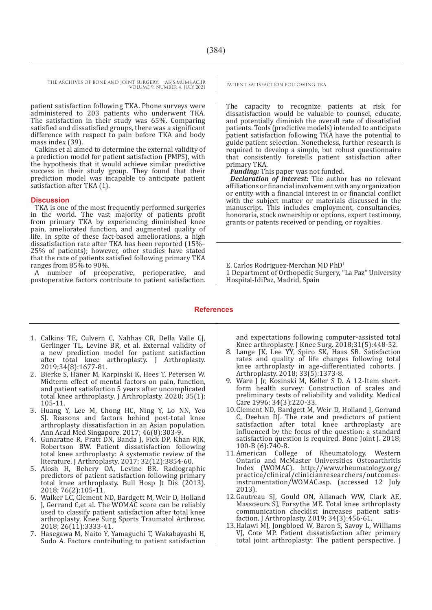patient satisfaction following TKA. Phone surveys were administered to 203 patients who underwent TKA. The satisfaction in their study was 65%. Comparing satisfied and dissatisfied groups, there was a significant difference with respect to pain before TKA and body mass index (39).

Calkins et al aimed to determine the external validity of a prediction model for patient satisfaction (PMPS), with the hypothesis that it would achieve similar predictive success in their study group. They found that their prediction model was incapable to anticipate patient satisfaction after TKA (1).

#### **Discussion**

TKA is one of the most frequently performed surgeries in the world. The vast majority of patients profit from primary TKA by experiencing diminished knee pain, ameliorated function, and augmented quality of life. In spite of these fact-based ameliorations, a high dissatisfaction rate after TKA has been reported (15%– 25% of patients); however, other studies have stated that the rate of patients satisfied following primary TKA ranges from 85% to 90%.

A number of preoperative, perioperative, and postoperative factors contribute to patient satisfaction.

The capacity to recognize patients at risk for dissatisfaction would be valuable to counsel, educate, and potentially diminish the overall rate of dissatisfied patients. Tools (predictive models) intended to anticipate patient satisfaction following TKA have the potential to guide patient selection. Nonetheless, further research is required to develop a simple, but robust questionnaire that consistently foretells patient satisfaction after primary TKA.

*Funding:* This paper was not funded.

*Declaration of interest:* The author has no relevant affiliations or financial involvement with any organization or entity with a financial interest in or financial conflict with the subject matter or materials discussed in the manuscript. This includes employment, consultancies, honoraria, stock ownership or options, expert testimony, grants or patents received or pending, or royalties.

E. Carlos Rodriguez-Merchan MD PhD1 1 Department of Orthopedic Surgery, "La Paz" University Hospital-IdiPaz, Madrid, Spain

#### **References**

- 1. Calkins TE, Culvern C, Nahhas CR, Della Valle CJ, Gerlinger TL, Levine BR, et al. External validity of a new prediction model for patient satisfaction after total knee arthroplasty. J Arthroplasty. 2019;34(8):1677-81.
- 2. Bierke S, Häner M, Karpinski K, Hees T, Petersen W. Midterm effect of mental factors on pain, function, and patient satisfaction 5 years after uncomplicated total knee arthroplasty. J Arthroplasty. 2020; 35(1): 105-11.
- 3. Huang Y, Lee M, Chong HC, Ning Y, Lo NN, Yeo SJ. Reasons and factors behind post-total knee arthroplasty dissatisfaction in an Asian population. Ann Acad Med Singapore. 2017; 46(8):303-9.
- 4. Gunaratne R, Pratt DN, Banda J, Fick DP, Khan RJK, Robertson BW. Patient dissatisfaction following total knee arthroplasty: A systematic review of the literature. J Arthroplasty. 2017; 32(12):3854-60.
- 5. Alosh H, Behery OA, Levine BR. Radiographic predictors of patient satisfaction following primary total knee arthroplasty. Bull Hosp Jt Dis (2013). 2018; 76(2):105-11.
- 6. Walker LC, Clement ND, Bardgett M, Weir D, Holland J, Gerrand C,et al. The WOMAC score can be reliably used to classify patient satisfaction after total knee arthroplasty. Knee Surg Sports Traumatol Arthrosc. 2018; 26(11):3333-41.
- 7. Hasegawa M, Naito Y, Yamaguchi T, Wakabayashi H, Sudo A. Factors contributing to patient satisfaction

and expectations following computer-assisted total Knee arthroplasty. J Knee Surg. 2018;31(5):448-52.

- 8. Lange JK, Lee YY, Spiro SK, Haas SB. Satisfaction rates and quality of life changes following total knee arthroplasty in age-differentiated cohorts. J Arthroplasty. 2018; 33(5):1373-8.
- 9. Ware J Jr, Kosinski M, Keller S D. A 12-Item shortform health survey: Construction of scales and preliminary tests of reliability and validity. Medical Care 1996; 34(3):220-33.
- 10.Clement ND, Bardgett M, Weir D, Holland J, Gerrand C, Deehan DJ. The rate and predictors of patient satisfaction after total knee arthroplasty are influenced by the focus of the question: a standard satisfaction question is required. Bone Joint J. 2018; 100-B (6):740-8.
- 11.American College of Rheumatology. Western Ontario and McMaster Universities Osteoarthritis Index (WOMAC). http://www.rheumatology.org/ practice/clinical/clinicianresearchers/outcomesinstrumentation/WOMAC.asp. (accessed 12 July 2013).
- 12.Gautreau SJ, Gould ON, Allanach WW, Clark AE, Massoeurs SJ, Forsythe ME. Total knee arthroplasty communication checklist increases patient satisfaction. J Arthroplasty. 2019; 34(3):456-61.
- 13.Halawi MJ, Jongbloed W, Baron S, Savoy L, Williams VJ, Cote MP. Patient dissatisfaction after primary total joint arthroplasty: The patient perspective. J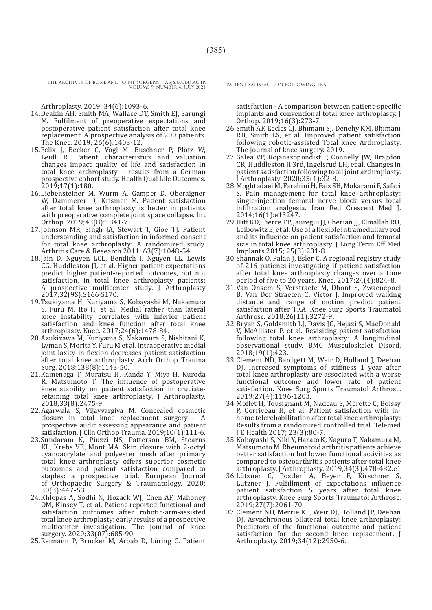Arthroplasty. 2019; 34(6):1093-6.

- 14.Deakin AH, Smith MA, Wallace DT, Smith EJ, Sarungi M. Fulfilment of preoperative expectations and postoperative patient satisfaction after total knee replacement. A prospective analysis of 200 patients. The Knee. 2019; 26(6):1403-12.
- 15.Felix J, Becker C, Vogl M, Buschner P, Plötz W, Leidl R. Patient characteristics and valuation changes impact quality of life and satisfaction in total knee arthroplasty - results from a German prospective cohort study. Health Qual Life Outcomes. 2019;17(1):180.
- 16.Liebensteiner M, Wurm A, Gamper D, Oberaigner W, Dammerer D, Krismer M. Patient satisfaction after total knee arthroplasty is better in patients with preoperative complete joint space collapse. Int Orthop. 2019;43(8):1841-7.
- 17.Johnson MR, Singh JA, Stewart T, Gioe TJ. Patient understanding and satisfaction in informed consent for total knee arthroplasty: A randomized study. Arthritis Care & Research 2011; 63(7):1048-54.
- 18.Jain D, Nguyen LCL, Bendich I, Nguyen LL, Lewis CG, Huddleston JI, et al. Higher patient expectations predict higher patient-reported outcomes, but not satisfaction, in total knee arthroplasty patients: A prospective multicenter study. J Arthroplasty 2017;32(9S):S166-S170.
- 19.Tsukiyama H, Kuriyama S, Kobayashi M, Nakamura S, Furu M, Ito H, et al. Medial rather than lateral knee instability correlates with inferior patient satisfaction and knee function after total knee arthroplasty. Knee. 2017;24(6):1478-84.
- 20.Azukizawa M, Kuriyama S, Nakamura S, Nishitani K, Lyman S, Morita Y, Furu M et al. Intraoperative medial joint laxity in flexion decreases patient satisfaction after total knee arthroplasty. Arch Orthop Trauma Surg. 2018;138(8):1143-50.
- 21.Kamenaga T, Muratsu H, Kanda Y, Miya H, Kuroda R, Matsumoto T. The influence of postoperative knee stability on patient satisfaction in cruciateretaining total knee arthroplasty. J Arthroplasty. 2018;33(8):2475-9.
- 22.Agarwala S, Vijayvargiya M. Concealed cosmetic closure in total knee replacement surgery - A prospective audit assessing appearance and patient satisfaction. J Clin Orthop Trauma. 2019;10(1):111-6.
- 23.Sundaram K, Piuzzi NS, Patterson BM, Stearns KL, Krebs VE, Mont MA. Skin closure with 2-octyl cyanoacrylate and polyester mesh after primary total knee arthroplasty offers superior cosmetic outcomes and patient satisfaction compared to staples: a prospective trial. European Journal of Orthopaedic Surgery & Traumatology. 2020; 30(3):447-53.
- 24.Khlopas A, Sodhi N, Hozack WJ, Chen AF, Mahoney OM, Kinsey T, et al. Patient-reported functional and satisfaction outcomes after robotic-arm-assisted total knee arthroplasty: early results of a prospective multicenter investigation. The journal of knee surgery. 2020;33(07):685-90.
- 25.Reimann P, Brucker M, Arbab D, Lüring C. Patient

satisfaction - A comparison between patient-specific implants and conventional total knee arthroplasty. J Orthop. 2019;16(3):273-7.

- 26.Smith AF, Eccles CJ, Bhimani SJ, Denehy KM, Bhimani RB, Smith LS, et al. Improved patient satisfaction following robotic-assisted Total knee Arthroplasty. The journal of knee surgery. 2019.
- 27.Galea VP, Rojanasopondist P, Connelly JW, Bragdon CR, Huddleston JI 3rd, Ingelsrud LH, et al. Changes in patient satisfaction following total joint arthroplasty. J Arthroplasty. 2020;35(1):32-8.
- 28.Moghtadaei M, Farahini H, Faiz SH, Mokarami F, Safari S. Pain management for total knee arthroplasty: single-injection femoral nerve block versus local infiltration analgesia. Iran Red Crescent Med J. 2014;16(1):e13247.
- 29.Hitt KD, Pierce TP, Jauregui JJ, Cherian JJ, Elmallah RD, Leibowitz E, et al. Use of a flexible intramedullary rod and its influence on patient satisfaction and femoral size in total knee arthroplasty. J Long Term Eff Med Implants 2015; 25(3):201-8.
- 30.Shannak O, Palan J, Esler C. A regional registry study of 216 patients investigating if patient satisfaction after total knee arthroplasty changes over a time period of five to 20 years. Knee. 2017;24(4):824-8.
- 31.Van Onsem S, Verstraete M, Dhont S, Zwaenepoel B, Van Der Straeten C, Victor J. Improved walking distance and range of motion predict patient satisfaction after TKA. Knee Surg Sports Traumatol Arthrosc. 2018;26(11):3272-9.
- 32.Bryan S, Goldsmith LJ, Davis JC, Hejazi S, MacDonald V, McAllister P, et al. Revisiting patient satisfaction following total knee arthroplasty: A longitudinal observational study. BMC Musculoskelet Disord. 2018;19(1):423.
- 33.Clement ND, Bardgett M, Weir D, Holland J, Deehan DJ. Increased symptoms of stiffness 1 year after total knee arthroplasty are associated with a worse functional outcome and lower rate of patient satisfaction. Knee Surg Sports Traumatol Arthrosc. 2019;27(4):1196-1203.
- 34.Moffet H, Tousignant M, Nadeau S, Mérette C, Boissy P, Corriveau H, et al. Patient satisfaction with inhome telerehabilitation after total knee arthroplasty: Results from a randomized controlled trial. Telemed J E Health 2017; 23(3):80-7.
- 35.Kobayashi S, Niki Y, Harato K, Nagura T, Nakamura M, Matsumoto M. Rheumatoid arthritis patients achieve better satisfaction but lower functional activities as compared to osteoarthritis patients after total knee arthroplasty. J Arthroplasty. 2019;34(3):478-482.e1
- 36.Lützner C, Postler A, Beyer F, Kirschner S, Lützner J. Fulfillment of expectations influence patient satisfaction 5 years after total knee arthroplasty. Knee Surg Sports Traumatol Arthrosc. 2019;27(7):2061-70.
- 37.Clement ND, Merrie KL, Weir DJ, Holland JP, Deehan DJ. Asynchronous bilateral total knee arthroplasty: Predictors of the functional outcome and patient satisfaction for the second knee replacement. J Arthroplasty. 2019;34(12):2950-6.